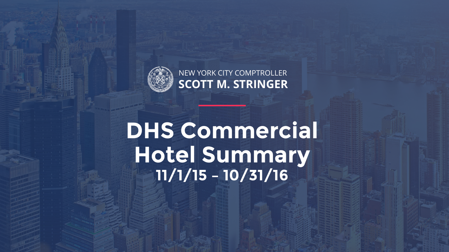

# **DHS Commercial Hotel Summary 11/1/15 – 10/31/16**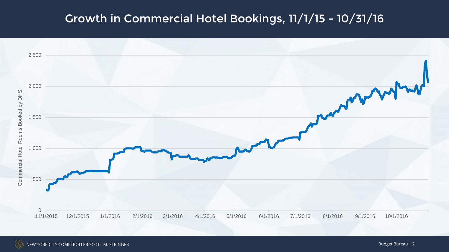# Growth in Commercial Hotel Bookings, 11/1/15 - 10/31/16

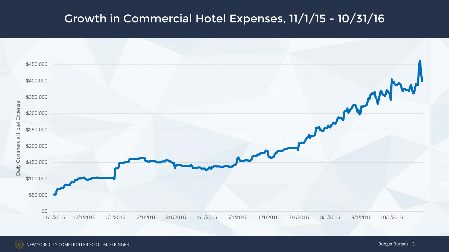# Growth in Commercial Hotel Expenses, 11/1/15 - 10/31/16

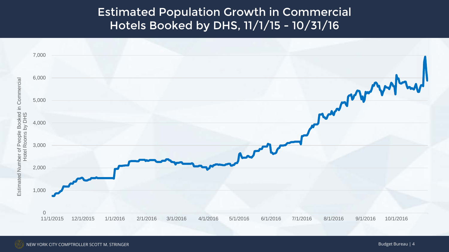#### Estimated Population Growth in Commercial Hotels Booked by DHS, 11/1/15 - 10/31/16

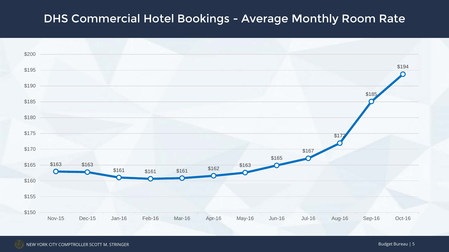#### DHS Commercial Hotel Bookings - Average Monthly Room Rate

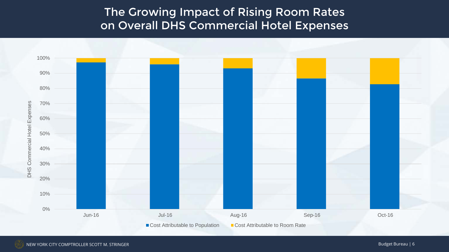# The Growing Impact of Rising Room Rates on Overall DHS Commercial Hotel Expenses

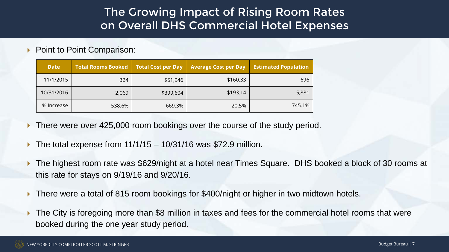# The Growing Impact of Rising Room Rates on Overall DHS Commercial Hotel Expenses

▶ Point to Point Comparison:

| <b>Date</b> | <b>Total Rooms Booked</b> | <b>Total Cost per Day</b> | <b>Average Cost per Day</b> | <b>Estimated Population</b> |
|-------------|---------------------------|---------------------------|-----------------------------|-----------------------------|
| 11/1/2015   | 324                       | \$51,946                  | \$160.33                    | 696                         |
| 10/31/2016  | 2,069                     | \$399,604                 | \$193.14                    | 5,881                       |
| % Increase  | 538.6%                    | 669.3%                    | 20.5%                       | 745.1%                      |

- There were over 425,000 room bookings over the course of the study period.
- $\triangleright$  The total expense from 11/1/15 10/31/16 was \$72.9 million.
- The highest room rate was \$629/night at a hotel near Times Square. DHS booked a block of 30 rooms at this rate for stays on 9/19/16 and 9/20/16.
- There were a total of 815 room bookings for \$400/night or higher in two midtown hotels.
- The City is foregoing more than \$8 million in taxes and fees for the commercial hotel rooms that were booked during the one year study period.